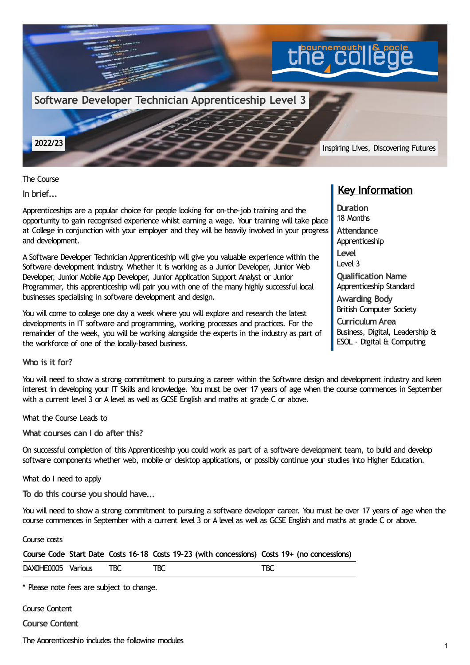

The Course

**In brief...**

Apprenticeships are a popular choice for people looking for on-the-job training and the opportunity to gain recognised experience whilst earning a wage. Your training will take place at College in conjunction with your employer and they will be heavily involved in your progress and development.

A Software Developer Technician Apprenticeship will give you valuable experience within the Software development industry. Whether it is working as a Junior Developer, Junior Web Developer, Junior Mobile App Developer, Junior Application Support Analyst or Junior Programmer, this apprenticeship will pair you with one of the many highly successful local businesses specialising in software development and design.

You will come to college one day a week where you will explore and research the latest developments in IT software and programming, working processes and practices. For the remainder of the week, you will be working alongside the experts in the industry as part of the workforce of one of the locally-based business.

## **Key Information**

**Duration** 18 Months **Attendance** Apprenticeship **Level** Level 3 **Qualification Name** Apprenticeship Standard **Awarding Body** British Computer Society **CurriculumArea**

Business, Digital, Leadership & ESOL - Digital & Computing

**Who is it for?**

You will need to show a strong commitment to pursuing a career within the Software design and development industry and keen interest in developing your IT Skills and knowledge. You must be over 17 years of age when the course commences in September with a current level 3 or A level as well as GCSE English and maths at grade C or above.

What the Course Leads to

**What courses can I do after this?**

On successful completion of this Apprenticeship you could work as part of a software development team, to build and develop software components whether web, mobile or desktop applications, or possibly continue your studies into Higher Education.

What do I need to apply

**To do this course you should have...**

You will need to show a strong commitment to pursuing a software developer career. You must be over 17 years of age when the course commences in September with a current level 3 or A level as well as GCSE English and maths at grade C or above.

Course costs

| XOHE0005<br><b>DAXC</b><br>va. | <b>AND</b><br>$\sim$ | $\sim$ | -- -<br>∽ |  |
|--------------------------------|----------------------|--------|-----------|--|
|                                |                      |        |           |  |

\* Please note fees are subject to change.

Course Content

**Course Content**